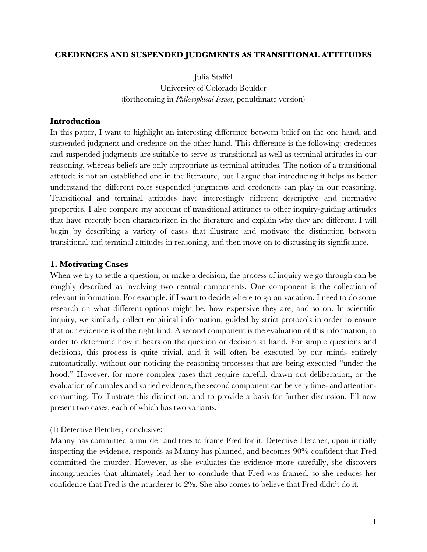### **CREDENCES AND SUSPENDED JUDGMENTS AS TRANSITIONAL ATTITUDES**

Julia Staffel University of Colorado Boulder (forthcoming in *Philosophical Issues*, penultimate version)

### **Introduction**

In this paper, I want to highlight an interesting difference between belief on the one hand, and suspended judgment and credence on the other hand. This difference is the following: credences and suspended judgments are suitable to serve as transitional as well as terminal attitudes in our reasoning, whereas beliefs are only appropriate as terminal attitudes. The notion of a transitional attitude is not an established one in the literature, but I argue that introducing it helps us better understand the different roles suspended judgments and credences can play in our reasoning. Transitional and terminal attitudes have interestingly different descriptive and normative properties. I also compare my account of transitional attitudes to other inquiry-guiding attitudes that have recently been characterized in the literature and explain why they are different. I will begin by describing a variety of cases that illustrate and motivate the distinction between transitional and terminal attitudes in reasoning, and then move on to discussing its significance.

## **1. Motivating Cases**

When we try to settle a question, or make a decision, the process of inquiry we go through can be roughly described as involving two central components. One component is the collection of relevant information. For example, if I want to decide where to go on vacation, I need to do some research on what different options might be, how expensive they are, and so on. In scientific inquiry, we similarly collect empirical information, guided by strict protocols in order to ensure that our evidence is of the right kind. A second component is the evaluation of this information, in order to determine how it bears on the question or decision at hand. For simple questions and decisions, this process is quite trivial, and it will often be executed by our minds entirely automatically, without our noticing the reasoning processes that are being executed "under the hood." However, for more complex cases that require careful, drawn out deliberation, or the evaluation of complex and varied evidence, the second component can be very time- and attentionconsuming. To illustrate this distinction, and to provide a basis for further discussion, I'll now present two cases, each of which has two variants.

### (1) Detective Fletcher, conclusive:

Manny has committed a murder and tries to frame Fred for it. Detective Fletcher, upon initially inspecting the evidence, responds as Manny has planned, and becomes 90% confident that Fred committed the murder. However, as she evaluates the evidence more carefully, she discovers incongruencies that ultimately lead her to conclude that Fred was framed, so she reduces her confidence that Fred is the murderer to 2%. She also comes to believe that Fred didn't do it.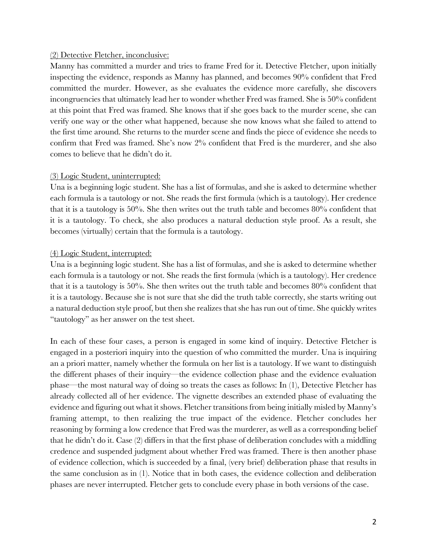### (2) Detective Fletcher, inconclusive:

Manny has committed a murder and tries to frame Fred for it. Detective Fletcher, upon initially inspecting the evidence, responds as Manny has planned, and becomes 90% confident that Fred committed the murder. However, as she evaluates the evidence more carefully, she discovers incongruencies that ultimately lead her to wonder whether Fred was framed. She is 50% confident at this point that Fred was framed. She knows that if she goes back to the murder scene, she can verify one way or the other what happened, because she now knows what she failed to attend to the first time around. She returns to the murder scene and finds the piece of evidence she needs to confirm that Fred was framed. She's now 2% confident that Fred is the murderer, and she also comes to believe that he didn't do it.

## (3) Logic Student, uninterrupted:

Una is a beginning logic student. She has a list of formulas, and she is asked to determine whether each formula is a tautology or not. She reads the first formula (which is a tautology). Her credence that it is a tautology is 50%. She then writes out the truth table and becomes 80% confident that it is a tautology. To check, she also produces a natural deduction style proof. As a result, she becomes (virtually) certain that the formula is a tautology.

## (4) Logic Student, interrupted:

Una is a beginning logic student. She has a list of formulas, and she is asked to determine whether each formula is a tautology or not. She reads the first formula (which is a tautology). Her credence that it is a tautology is 50%. She then writes out the truth table and becomes 80% confident that it is a tautology. Because she is not sure that she did the truth table correctly, she starts writing out a natural deduction style proof, but then she realizes that she has run out of time. She quickly writes "tautology" as her answer on the test sheet.

In each of these four cases, a person is engaged in some kind of inquiry. Detective Fletcher is engaged in a posteriori inquiry into the question of who committed the murder. Una is inquiring an a priori matter, namely whether the formula on her list is a tautology. If we want to distinguish the different phases of their inquiry—the evidence collection phase and the evidence evaluation phase—the most natural way of doing so treats the cases as follows: In (1), Detective Fletcher has already collected all of her evidence. The vignette describes an extended phase of evaluating the evidence and figuring out what it shows. Fletcher transitions from being initially misled by Manny's framing attempt, to then realizing the true impact of the evidence. Fletcher concludes her reasoning by forming a low credence that Fred was the murderer, as well as a corresponding belief that he didn't do it. Case (2) differs in that the first phase of deliberation concludes with a middling credence and suspended judgment about whether Fred was framed. There is then another phase of evidence collection, which is succeeded by a final, (very brief) deliberation phase that results in the same conclusion as in (1). Notice that in both cases, the evidence collection and deliberation phases are never interrupted. Fletcher gets to conclude every phase in both versions of the case.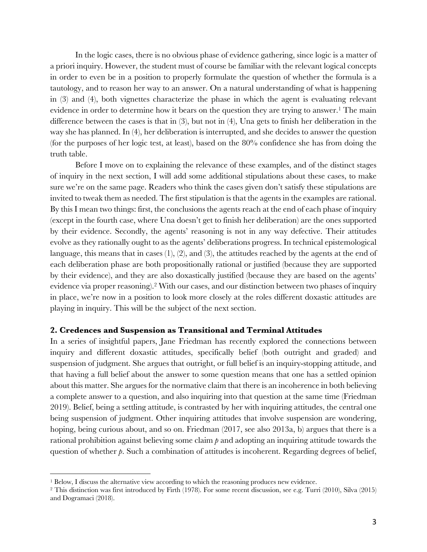In the logic cases, there is no obvious phase of evidence gathering, since logic is a matter of a priori inquiry. However, the student must of course be familiar with the relevant logical concepts in order to even be in a position to properly formulate the question of whether the formula is a tautology, and to reason her way to an answer. On a natural understanding of what is happening in (3) and (4), both vignettes characterize the phase in which the agent is evaluating relevant evidence in order to determine how it bears on the question they are trying to answer.<sup>1</sup> The main difference between the cases is that in (3), but not in (4), Una gets to finish her deliberation in the way she has planned. In (4), her deliberation is interrupted, and she decides to answer the question (for the purposes of her logic test, at least), based on the 80% confidence she has from doing the truth table.

Before I move on to explaining the relevance of these examples, and of the distinct stages of inquiry in the next section, I will add some additional stipulations about these cases, to make sure we're on the same page. Readers who think the cases given don't satisfy these stipulations are invited to tweak them as needed. The first stipulation is that the agents in the examples are rational. By this I mean two things: first, the conclusions the agents reach at the end of each phase of inquiry (except in the fourth case, where Una doesn't get to finish her deliberation) are the ones supported by their evidence. Secondly, the agents' reasoning is not in any way defective. Their attitudes evolve as they rationally ought to as the agents' deliberations progress. In technical epistemological language, this means that in cases (1), (2), and (3), the attitudes reached by the agents at the end of each deliberation phase are both propositionally rational or justified (because they are supported by their evidence), and they are also doxastically justified (because they are based on the agents' evidence via proper reasoning).<sup>2</sup> With our cases, and our distinction between two phases of inquiry in place, we're now in a position to look more closely at the roles different doxastic attitudes are playing in inquiry. This will be the subject of the next section.

#### **2. Credences and Suspension as Transitional and Terminal Attitudes**

In a series of insightful papers, Jane Friedman has recently explored the connections between inquiry and different doxastic attitudes, specifically belief (both outright and graded) and suspension of judgment. She argues that outright, or full belief is an inquiry-stopping attitude, and that having a full belief about the answer to some question means that one has a settled opinion about this matter. She argues for the normative claim that there is an incoherence in both believing a complete answer to a question, and also inquiring into that question at the same time (Friedman 2019). Belief, being a settling attitude, is contrasted by her with inquiring attitudes, the central one being suspension of judgment. Other inquiring attitudes that involve suspension are wondering, hoping, being curious about, and so on. Friedman (2017, see also 2013a, b) argues that there is a rational prohibition against believing some claim *p* and adopting an inquiring attitude towards the question of whether  $p$ . Such a combination of attitudes is incoherent. Regarding degrees of belief,

 $1$  Below, I discuss the alternative view according to which the reasoning produces new evidence.

<sup>2</sup> This distinction was first introduced by Firth (1978). For some recent discussion, see e.g. Turri (2010), Silva (2015) and Dogramaci (2018).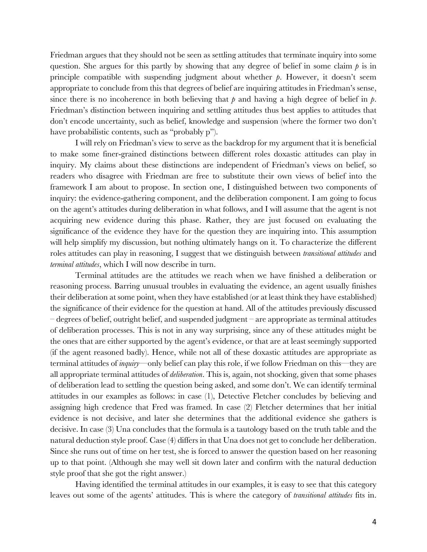Friedman argues that they should not be seen as settling attitudes that terminate inquiry into some question. She argues for this partly by showing that any degree of belief in some claim  $\beta$  is in principle compatible with suspending judgment about whether *p*. However, it doesn't seem appropriate to conclude from this that degrees of belief are inquiring attitudes in Friedman's sense, since there is no incoherence in both believing that  $p$  and having a high degree of belief in  $p$ . Friedman's distinction between inquiring and settling attitudes thus best applies to attitudes that don't encode uncertainty, such as belief, knowledge and suspension (where the former two don't have probabilistic contents, such as "probably p").

I will rely on Friedman's view to serve as the backdrop for my argument that it is beneficial to make some finer-grained distinctions between different roles doxastic attitudes can play in inquiry. My claims about these distinctions are independent of Friedman's views on belief, so readers who disagree with Friedman are free to substitute their own views of belief into the framework I am about to propose. In section one, I distinguished between two components of inquiry: the evidence-gathering component, and the deliberation component. I am going to focus on the agent's attitudes during deliberation in what follows, and I will assume that the agent is not acquiring new evidence during this phase. Rather, they are just focused on evaluating the significance of the evidence they have for the question they are inquiring into. This assumption will help simplify my discussion, but nothing ultimately hangs on it. To characterize the different roles attitudes can play in reasoning, I suggest that we distinguish between *transitional attitudes* and *terminal attitudes*, which I will now describe in turn.

Terminal attitudes are the attitudes we reach when we have finished a deliberation or reasoning process. Barring unusual troubles in evaluating the evidence, an agent usually finishes their deliberation at some point, when they have established (or at least think they have established) the significance of their evidence for the question at hand. All of the attitudes previously discussed – degrees of belief, outright belief, and suspended judgment – are appropriate as terminal attitudes of deliberation processes. This is not in any way surprising, since any of these attitudes might be the ones that are either supported by the agent's evidence, or that are at least seemingly supported (if the agent reasoned badly). Hence, while not all of these doxastic attitudes are appropriate as terminal attitudes of *inquiry*—only belief can play this role, if we follow Friedman on this—they are all appropriate terminal attitudes of *deliberation*. This is, again, not shocking, given that some phases of deliberation lead to settling the question being asked, and some don't. We can identify terminal attitudes in our examples as follows: in case (1), Detective Fletcher concludes by believing and assigning high credence that Fred was framed. In case (2) Fletcher determines that her initial evidence is not decisive, and later she determines that the additional evidence she gathers is decisive. In case (3) Una concludes that the formula is a tautology based on the truth table and the natural deduction style proof. Case (4) differs in that Una does not get to conclude her deliberation. Since she runs out of time on her test, she is forced to answer the question based on her reasoning up to that point. (Although she may well sit down later and confirm with the natural deduction style proof that she got the right answer.)

Having identified the terminal attitudes in our examples, it is easy to see that this category leaves out some of the agents' attitudes. This is where the category of *transitional attitudes* fits in.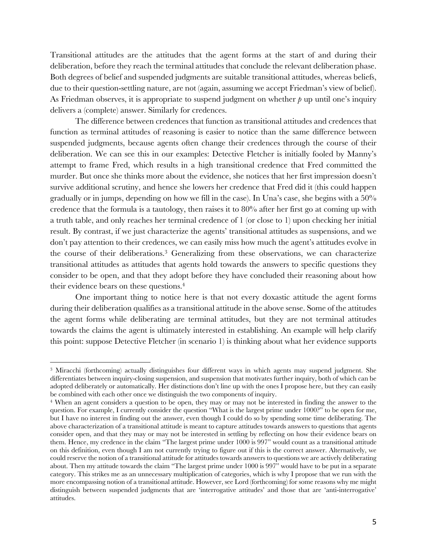Transitional attitudes are the attitudes that the agent forms at the start of and during their deliberation, before they reach the terminal attitudes that conclude the relevant deliberation phase. Both degrees of belief and suspended judgments are suitable transitional attitudes, whereas beliefs, due to their question-settling nature, are not (again, assuming we accept Friedman's view of belief). As Friedman observes, it is appropriate to suspend judgment on whether *p* up until one's inquiry delivers a (complete) answer. Similarly for credences.

The difference between credences that function as transitional attitudes and credences that function as terminal attitudes of reasoning is easier to notice than the same difference between suspended judgments, because agents often change their credences through the course of their deliberation. We can see this in our examples: Detective Fletcher is initially fooled by Manny's attempt to frame Fred, which results in a high transitional credence that Fred committed the murder. But once she thinks more about the evidence, she notices that her first impression doesn't survive additional scrutiny, and hence she lowers her credence that Fred did it (this could happen gradually or in jumps, depending on how we fill in the case). In Una's case, she begins with a 50% credence that the formula is a tautology, then raises it to 80% after her first go at coming up with a truth table, and only reaches her terminal credence of 1 (or close to 1) upon checking her initial result. By contrast, if we just characterize the agents' transitional attitudes as suspensions, and we don't pay attention to their credences, we can easily miss how much the agent's attitudes evolve in the course of their deliberations.3 Generalizing from these observations, we can characterize transitional attitudes as attitudes that agents hold towards the answers to specific questions they consider to be open, and that they adopt before they have concluded their reasoning about how their evidence bears on these questions.4

One important thing to notice here is that not every doxastic attitude the agent forms during their deliberation qualifies as a transitional attitude in the above sense. Some of the attitudes the agent forms while deliberating are terminal attitudes, but they are not terminal attitudes towards the claims the agent is ultimately interested in establishing. An example will help clarify this point: suppose Detective Fletcher (in scenario 1) is thinking about what her evidence supports

<sup>3</sup> Miracchi (forthcoming) actually distinguishes four different ways in which agents may suspend judgment. She differentiates between inquiry-closing suspension, and suspension that motivates further inquiry, both of which can be adopted deliberately or automatically. Her distinctions don't line up with the ones I propose here, but they can easily be combined with each other once we distinguish the two components of inquiry.

<sup>4</sup> When an agent considers a question to be open, they may or may not be interested in finding the answer to the question. For example, I currently consider the question "What is the largest prime under 1000?" to be open for me, but I have no interest in finding out the answer, even though I could do so by spending some time deliberating. The above characterization of a transitional attitude is meant to capture attitudes towards answers to questions that agents consider open, and that they may or may not be interested in settling by reflecting on how their evidence bears on them. Hence, my credence in the claim "The largest prime under 1000 is 997" would count as a transitional attitude on this definition, even though I am not currently trying to figure out if this is the correct answer. Alternatively, we could reserve the notion of a transitional attitude for attitudes towards answers to questions we are actively deliberating about. Then my attitude towards the claim "The largest prime under 1000 is 997" would have to be put in a separate category. This strikes me as an unnecessary multiplication of categories, which is why I propose that we run with the more encompassing notion of a transitional attitude. However, see Lord (forthcoming) for some reasons why me might distinguish between suspended judgments that are 'interrogative attitudes' and those that are 'anti-interrogative' attitudes.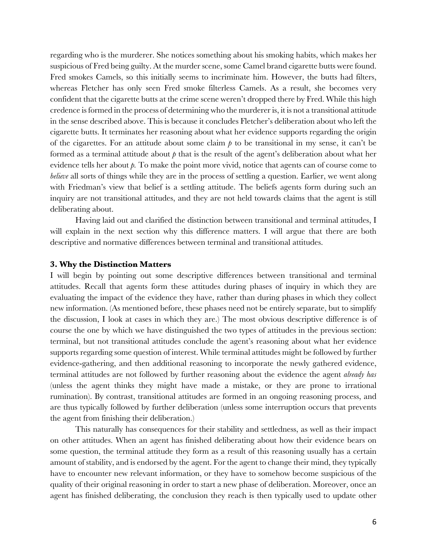regarding who is the murderer. She notices something about his smoking habits, which makes her suspicious of Fred being guilty. At the murder scene, some Camel brand cigarette butts were found. Fred smokes Camels, so this initially seems to incriminate him. However, the butts had filters, whereas Fletcher has only seen Fred smoke filterless Camels. As a result, she becomes very confident that the cigarette butts at the crime scene weren't dropped there by Fred. While this high credence is formed in the process of determining who the murderer is, it is not a transitional attitude in the sense described above. This is because it concludes Fletcher's deliberation about who left the cigarette butts. It terminates her reasoning about what her evidence supports regarding the origin of the cigarettes. For an attitude about some claim  $p$  to be transitional in my sense, it can't be formed as a terminal attitude about *p* that is the result of the agent's deliberation about what her evidence tells her about  $\beta$ . To make the point more vivid, notice that agents can of course come to *believe* all sorts of things while they are in the process of settling a question. Earlier, we went along with Friedman's view that belief is a settling attitude. The beliefs agents form during such an inquiry are not transitional attitudes, and they are not held towards claims that the agent is still deliberating about.

Having laid out and clarified the distinction between transitional and terminal attitudes, I will explain in the next section why this difference matters. I will argue that there are both descriptive and normative differences between terminal and transitional attitudes.

#### **3. Why the Distinction Matters**

I will begin by pointing out some descriptive differences between transitional and terminal attitudes. Recall that agents form these attitudes during phases of inquiry in which they are evaluating the impact of the evidence they have, rather than during phases in which they collect new information. (As mentioned before, these phases need not be entirely separate, but to simplify the discussion, I look at cases in which they are.) The most obvious descriptive difference is of course the one by which we have distinguished the two types of attitudes in the previous section: terminal, but not transitional attitudes conclude the agent's reasoning about what her evidence supports regarding some question of interest. While terminal attitudes might be followed by further evidence-gathering, and then additional reasoning to incorporate the newly gathered evidence, terminal attitudes are not followed by further reasoning about the evidence the agent *already has* (unless the agent thinks they might have made a mistake, or they are prone to irrational rumination). By contrast, transitional attitudes are formed in an ongoing reasoning process, and are thus typically followed by further deliberation (unless some interruption occurs that prevents the agent from finishing their deliberation.)

This naturally has consequences for their stability and settledness, as well as their impact on other attitudes. When an agent has finished deliberating about how their evidence bears on some question, the terminal attitude they form as a result of this reasoning usually has a certain amount of stability, and is endorsed by the agent. For the agent to change their mind, they typically have to encounter new relevant information, or they have to somehow become suspicious of the quality of their original reasoning in order to start a new phase of deliberation. Moreover, once an agent has finished deliberating, the conclusion they reach is then typically used to update other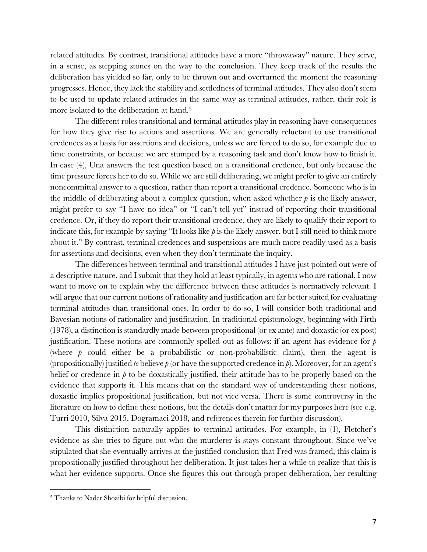related attitudes. By contrast, transitional attitudes have a more "throwaway" nature. They serve, in a sense, as stepping stones on the way to the conclusion. They keep track of the results the deliberation has yielded so far, only to be thrown out and overturned the moment the reasoning progresses. Hence, they lack the stability and settledness of terminal attitudes. They also don't seem to be used to update related attitudes in the same way as terminal attitudes, rather, their role is more isolated to the deliberation at hand.5

The different roles transitional and terminal attitudes play in reasoning have consequences for how they give rise to actions and assertions. We are generally reluctant to use transitional credences as a basis for assertions and decisions, unless we are forced to do so, for example due to time constraints, or because we are stumped by a reasoning task and don't know how to finish it. In case (4), Una answers the test question based on a transitional credence, but only because the time pressure forces her to do so. While we are still deliberating, we might prefer to give an entirely noncommittal answer to a question, rather than report a transitional credence. Someone who is in the middle of deliberating about a complex question, when asked whether  $\beta$  is the likely answer, might prefer to say "I have no idea" or "I can't tell yet" instead of reporting their transitional credence. Or, if they do report their transitional credence, they are likely to qualify their report to indicate this, for example by saying "It looks like *p* is the likely answer, but I still need to think more about it." By contrast, terminal credences and suspensions are much more readily used as a basis for assertions and decisions, even when they don't terminate the inquiry.

The differences between terminal and transitional attitudes I have just pointed out were of a descriptive nature, and I submit that they hold at least typically, in agents who are rational. I now want to move on to explain why the difference between these attitudes is normatively relevant. I will argue that our current notions of rationality and justification are far better suited for evaluating terminal attitudes than transitional ones. In order to do so, I will consider both traditional and Bayesian notions of rationality and justification. In traditional epistemology, beginning with Firth (1978), a distinction is standardly made between propositional (or ex ante) and doxastic (or ex post) justification. These notions are commonly spelled out as follows: if an agent has evidence for *p* (where  $p$  could either be a probabilistic or non-probabilistic claim), then the agent is (propositionally) justified *to* believe *p* (or have the supported credence in *p*). Moreover, for an agent's belief or credence in *p* to be doxastically justified, their attitude has to be properly based on the evidence that supports it. This means that on the standard way of understanding these notions, doxastic implies propositional justification, but not vice versa. There is some controversy in the literature on how to define these notions, but the details don't matter for my purposes here (see e.g. Turri 2010, Silva 2015, Dogramaci 2018, and references therein for further discussion).

This distinction naturally applies to terminal attitudes. For example, in (1), Fletcher's evidence as she tries to figure out who the murderer is stays constant throughout. Since we've stipulated that she eventually arrives at the justified conclusion that Fred was framed, this claim is propositionally justified throughout her deliberation. It just takes her a while to realize that this is what her evidence supports. Once she figures this out through proper deliberation, her resulting

<sup>5</sup> Thanks to Nader Shoaibi for helpful discussion.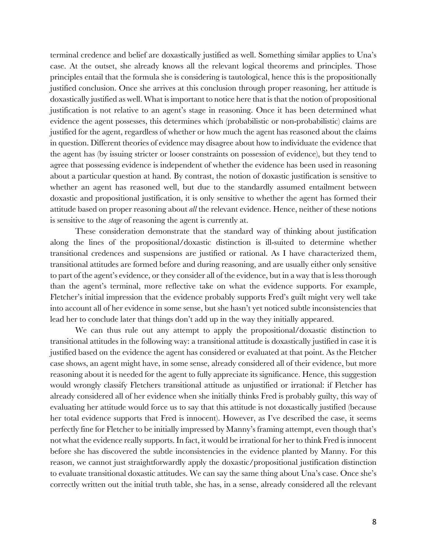terminal credence and belief are doxastically justified as well. Something similar applies to Una's case. At the outset, she already knows all the relevant logical theorems and principles. Those principles entail that the formula she is considering is tautological, hence this is the propositionally justified conclusion. Once she arrives at this conclusion through proper reasoning, her attitude is doxastically justified as well. What is important to notice here that is that the notion of propositional justification is not relative to an agent's stage in reasoning. Once it has been determined what evidence the agent possesses, this determines which (probabilistic or non-probabilistic) claims are justified for the agent, regardless of whether or how much the agent has reasoned about the claims in question. Different theories of evidence may disagree about how to individuate the evidence that the agent has (by issuing stricter or looser constraints on possession of evidence), but they tend to agree that possessing evidence is independent of whether the evidence has been used in reasoning about a particular question at hand. By contrast, the notion of doxastic justification is sensitive to whether an agent has reasoned well, but due to the standardly assumed entailment between doxastic and propositional justification, it is only sensitive to whether the agent has formed their attitude based on proper reasoning about *all* the relevant evidence. Hence, neither of these notions is sensitive to the *stage* of reasoning the agent is currently at.

These consideration demonstrate that the standard way of thinking about justification along the lines of the propositional/doxastic distinction is ill-suited to determine whether transitional credences and suspensions are justified or rational. As I have characterized them, transitional attitudes are formed before and during reasoning, and are usually either only sensitive to part of the agent's evidence, or they consider all of the evidence, but in a way that is less thorough than the agent's terminal, more reflective take on what the evidence supports. For example, Fletcher's initial impression that the evidence probably supports Fred's guilt might very well take into account all of her evidence in some sense, but she hasn't yet noticed subtle inconsistencies that lead her to conclude later that things don't add up in the way they initially appeared.

We can thus rule out any attempt to apply the propositional/doxastic distinction to transitional attitudes in the following way: a transitional attitude is doxastically justified in case it is justified based on the evidence the agent has considered or evaluated at that point. As the Fletcher case shows, an agent might have, in some sense, already considered all of their evidence, but more reasoning about it is needed for the agent to fully appreciate its significance. Hence, this suggestion would wrongly classify Fletchers transitional attitude as unjustified or irrational: if Fletcher has already considered all of her evidence when she initially thinks Fred is probably guilty, this way of evaluating her attitude would force us to say that this attitude is not doxastically justified (because her total evidence supports that Fred is innocent). However, as I've described the case, it seems perfectly fine for Fletcher to be initially impressed by Manny's framing attempt, even though that's not what the evidence really supports. In fact, it would be irrational for her to think Fred is innocent before she has discovered the subtle inconsistencies in the evidence planted by Manny. For this reason, we cannot just straightforwardly apply the doxastic/propositional justification distinction to evaluate transitional doxastic attitudes. We can say the same thing about Una's case. Once she's correctly written out the initial truth table, she has, in a sense, already considered all the relevant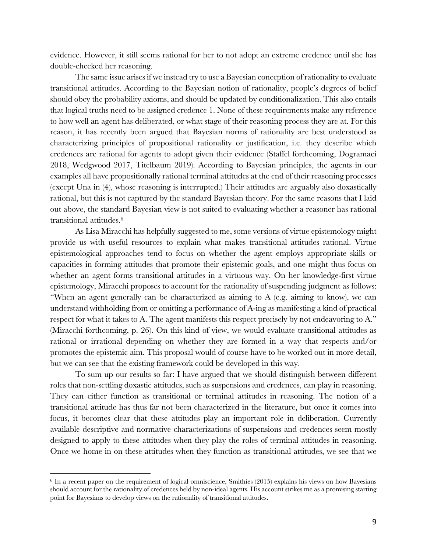evidence. However, it still seems rational for her to not adopt an extreme credence until she has double-checked her reasoning.

The same issue arises if we instead try to use a Bayesian conception of rationality to evaluate transitional attitudes. According to the Bayesian notion of rationality, people's degrees of belief should obey the probability axioms, and should be updated by conditionalization. This also entails that logical truths need to be assigned credence 1. None of these requirements make any reference to how well an agent has deliberated, or what stage of their reasoning process they are at. For this reason, it has recently been argued that Bayesian norms of rationality are best understood as characterizing principles of propositional rationality or justification, i.e. they describe which credences are rational for agents to adopt given their evidence (Staffel forthcoming, Dogramaci 2018, Wedgwood 2017, Titelbaum 2019). According to Bayesian principles, the agents in our examples all have propositionally rational terminal attitudes at the end of their reasoning processes (except Una in (4), whose reasoning is interrupted.) Their attitudes are arguably also doxastically rational, but this is not captured by the standard Bayesian theory. For the same reasons that I laid out above, the standard Bayesian view is not suited to evaluating whether a reasoner has rational transitional attitudes.6

As Lisa Miracchi has helpfully suggested to me, some versions of virtue epistemology might provide us with useful resources to explain what makes transitional attitudes rational. Virtue epistemological approaches tend to focus on whether the agent employs appropriate skills or capacities in forming attitudes that promote their epistemic goals, and one might thus focus on whether an agent forms transitional attitudes in a virtuous way. On her knowledge-first virtue epistemology, Miracchi proposes to account for the rationality of suspending judgment as follows: "When an agent generally can be characterized as aiming to A (e.g. aiming to know), we can understand withholding from or omitting a performance of A-ing as manifesting a kind of practical respect for what it takes to A. The agent manifests this respect precisely by not endeavoring to A." (Miracchi forthcoming, p. 26). On this kind of view, we would evaluate transitional attitudes as rational or irrational depending on whether they are formed in a way that respects and/or promotes the epistemic aim. This proposal would of course have to be worked out in more detail, but we can see that the existing framework could be developed in this way.

To sum up our results so far: I have argued that we should distinguish between different roles that non-settling doxastic attitudes, such as suspensions and credences, can play in reasoning. They can either function as transitional or terminal attitudes in reasoning. The notion of a transitional attitude has thus far not been characterized in the literature, but once it comes into focus, it becomes clear that these attitudes play an important role in deliberation. Currently available descriptive and normative characterizations of suspensions and credences seem mostly designed to apply to these attitudes when they play the roles of terminal attitudes in reasoning. Once we home in on these attitudes when they function as transitional attitudes, we see that we

<sup>6</sup> In a recent paper on the requirement of logical omniscience, Smithies (2015) explains his views on how Bayesians should account for the rationality of credences held by non-ideal agents. His account strikes me as a promising starting point for Bayesians to develop views on the rationality of transitional attitudes.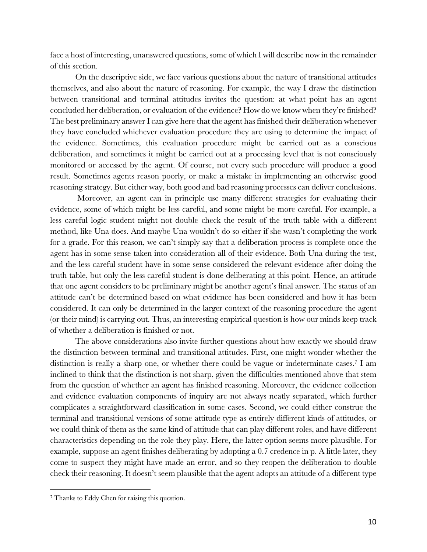face a host of interesting, unanswered questions, some of which I will describe now in the remainder of this section.

On the descriptive side, we face various questions about the nature of transitional attitudes themselves, and also about the nature of reasoning. For example, the way I draw the distinction between transitional and terminal attitudes invites the question: at what point has an agent concluded her deliberation, or evaluation of the evidence? How do we know when they're finished? The best preliminary answer I can give here that the agent has finished their deliberation whenever they have concluded whichever evaluation procedure they are using to determine the impact of the evidence. Sometimes, this evaluation procedure might be carried out as a conscious deliberation, and sometimes it might be carried out at a processing level that is not consciously monitored or accessed by the agent. Of course, not every such procedure will produce a good result. Sometimes agents reason poorly, or make a mistake in implementing an otherwise good reasoning strategy. But either way, both good and bad reasoning processes can deliver conclusions.

Moreover, an agent can in principle use many different strategies for evaluating their evidence, some of which might be less careful, and some might be more careful. For example, a less careful logic student might not double check the result of the truth table with a different method, like Una does. And maybe Una wouldn't do so either if she wasn't completing the work for a grade. For this reason, we can't simply say that a deliberation process is complete once the agent has in some sense taken into consideration all of their evidence. Both Una during the test, and the less careful student have in some sense considered the relevant evidence after doing the truth table, but only the less careful student is done deliberating at this point. Hence, an attitude that one agent considers to be preliminary might be another agent's final answer. The status of an attitude can't be determined based on what evidence has been considered and how it has been considered. It can only be determined in the larger context of the reasoning procedure the agent (or their mind) is carrying out. Thus, an interesting empirical question is how our minds keep track of whether a deliberation is finished or not.

The above considerations also invite further questions about how exactly we should draw the distinction between terminal and transitional attitudes. First, one might wonder whether the distinction is really a sharp one, or whether there could be vague or indeterminate cases.7 I am inclined to think that the distinction is not sharp, given the difficulties mentioned above that stem from the question of whether an agent has finished reasoning. Moreover, the evidence collection and evidence evaluation components of inquiry are not always neatly separated, which further complicates a straightforward classification in some cases. Second, we could either construe the terminal and transitional versions of some attitude type as entirely different kinds of attitudes, or we could think of them as the same kind of attitude that can play different roles, and have different characteristics depending on the role they play. Here, the latter option seems more plausible. For example, suppose an agent finishes deliberating by adopting a 0.7 credence in p. A little later, they come to suspect they might have made an error, and so they reopen the deliberation to double check their reasoning. It doesn't seem plausible that the agent adopts an attitude of a different type

<sup>7</sup> Thanks to Eddy Chen for raising this question.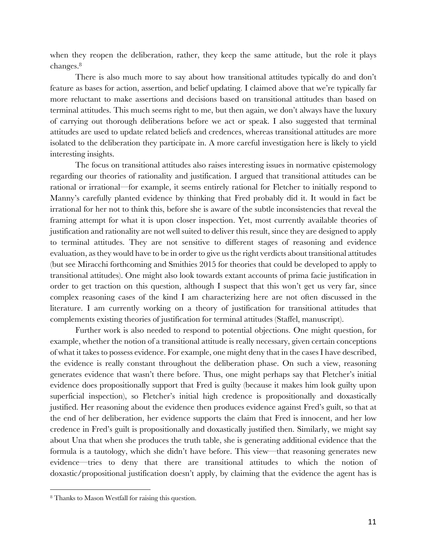when they reopen the deliberation, rather, they keep the same attitude, but the role it plays changes.8

There is also much more to say about how transitional attitudes typically do and don't feature as bases for action, assertion, and belief updating. I claimed above that we're typically far more reluctant to make assertions and decisions based on transitional attitudes than based on terminal attitudes. This much seems right to me, but then again, we don't always have the luxury of carrying out thorough deliberations before we act or speak. I also suggested that terminal attitudes are used to update related beliefs and credences, whereas transitional attitudes are more isolated to the deliberation they participate in. A more careful investigation here is likely to yield interesting insights.

The focus on transitional attitudes also raises interesting issues in normative epistemology regarding our theories of rationality and justification. I argued that transitional attitudes can be rational or irrational—for example, it seems entirely rational for Fletcher to initially respond to Manny's carefully planted evidence by thinking that Fred probably did it. It would in fact be irrational for her not to think this, before she is aware of the subtle inconsistencies that reveal the framing attempt for what it is upon closer inspection. Yet, most currently available theories of justification and rationality are not well suited to deliver this result, since they are designed to apply to terminal attitudes. They are not sensitive to different stages of reasoning and evidence evaluation, as they would have to be in order to give us the right verdicts about transitional attitudes (but see Miracchi forthcoming and Smithies 2015 for theories that could be developed to apply to transitional attitudes). One might also look towards extant accounts of prima facie justification in order to get traction on this question, although I suspect that this won't get us very far, since complex reasoning cases of the kind I am characterizing here are not often discussed in the literature. I am currently working on a theory of justification for transitional attitudes that complements existing theories of justification for terminal attitudes (Staffel, manuscript).

Further work is also needed to respond to potential objections. One might question, for example, whether the notion of a transitional attitude is really necessary, given certain conceptions of what it takes to possess evidence. For example, one might deny that in the cases I have described, the evidence is really constant throughout the deliberation phase. On such a view, reasoning generates evidence that wasn't there before. Thus, one might perhaps say that Fletcher's initial evidence does propositionally support that Fred is guilty (because it makes him look guilty upon superficial inspection), so Fletcher's initial high credence is propositionally and doxastically justified. Her reasoning about the evidence then produces evidence against Fred's guilt, so that at the end of her deliberation, her evidence supports the claim that Fred is innocent, and her low credence in Fred's guilt is propositionally and doxastically justified then. Similarly, we might say about Una that when she produces the truth table, she is generating additional evidence that the formula is a tautology, which she didn't have before. This view—that reasoning generates new evidence—tries to deny that there are transitional attitudes to which the notion of doxastic/propositional justification doesn't apply, by claiming that the evidence the agent has is

<sup>8</sup> Thanks to Mason Westfall for raising this question.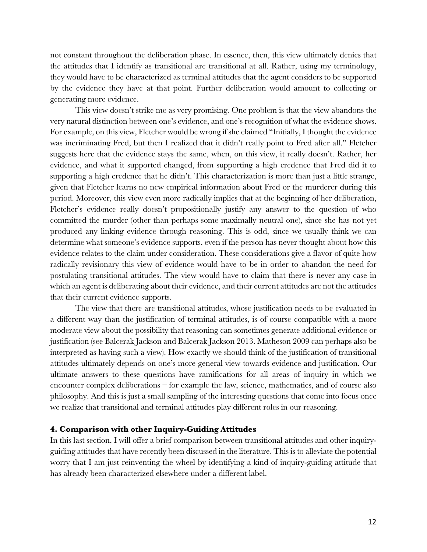not constant throughout the deliberation phase. In essence, then, this view ultimately denies that the attitudes that I identify as transitional are transitional at all. Rather, using my terminology, they would have to be characterized as terminal attitudes that the agent considers to be supported by the evidence they have at that point. Further deliberation would amount to collecting or generating more evidence.

This view doesn't strike me as very promising. One problem is that the view abandons the very natural distinction between one's evidence, and one's recognition of what the evidence shows. For example, on this view, Fletcher would be wrong if she claimed "Initially, I thought the evidence was incriminating Fred, but then I realized that it didn't really point to Fred after all." Fletcher suggests here that the evidence stays the same, when, on this view, it really doesn't. Rather, her evidence, and what it supported changed, from supporting a high credence that Fred did it to supporting a high credence that he didn't. This characterization is more than just a little strange, given that Fletcher learns no new empirical information about Fred or the murderer during this period. Moreover, this view even more radically implies that at the beginning of her deliberation, Fletcher's evidence really doesn't propositionally justify any answer to the question of who committed the murder (other than perhaps some maximally neutral one), since she has not yet produced any linking evidence through reasoning. This is odd, since we usually think we can determine what someone's evidence supports, even if the person has never thought about how this evidence relates to the claim under consideration. These considerations give a flavor of quite how radically revisionary this view of evidence would have to be in order to abandon the need for postulating transitional attitudes. The view would have to claim that there is never any case in which an agent is deliberating about their evidence, and their current attitudes are not the attitudes that their current evidence supports.

The view that there are transitional attitudes, whose justification needs to be evaluated in a different way than the justification of terminal attitudes, is of course compatible with a more moderate view about the possibility that reasoning can sometimes generate additional evidence or justification (see Balcerak Jackson and Balcerak Jackson 2013. Matheson 2009 can perhaps also be interpreted as having such a view). How exactly we should think of the justification of transitional attitudes ultimately depends on one's more general view towards evidence and justification. Our ultimate answers to these questions have ramifications for all areas of inquiry in which we encounter complex deliberations – for example the law, science, mathematics, and of course also philosophy. And this is just a small sampling of the interesting questions that come into focus once we realize that transitional and terminal attitudes play different roles in our reasoning.

### **4. Comparison with other Inquiry-Guiding Attitudes**

In this last section, I will offer a brief comparison between transitional attitudes and other inquiryguiding attitudes that have recently been discussed in the literature. This is to alleviate the potential worry that I am just reinventing the wheel by identifying a kind of inquiry-guiding attitude that has already been characterized elsewhere under a different label.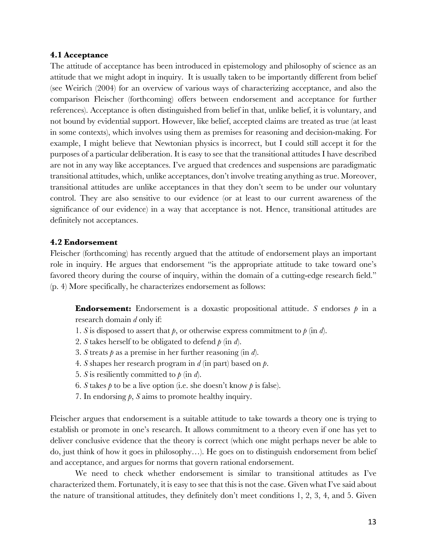#### **4.1 Acceptance**

The attitude of acceptance has been introduced in epistemology and philosophy of science as an attitude that we might adopt in inquiry. It is usually taken to be importantly different from belief (see Weirich (2004) for an overview of various ways of characterizing acceptance, and also the comparison Fleischer (forthcoming) offers between endorsement and acceptance for further references). Acceptance is often distinguished from belief in that, unlike belief, it is voluntary, and not bound by evidential support. However, like belief, accepted claims are treated as true (at least in some contexts), which involves using them as premises for reasoning and decision-making. For example, I might believe that Newtonian physics is incorrect, but I could still accept it for the purposes of a particular deliberation. It is easy to see that the transitional attitudes I have described are not in any way like acceptances. I've argued that credences and suspensions are paradigmatic transitional attitudes, which, unlike acceptances, don't involve treating anything as true. Moreover, transitional attitudes are unlike acceptances in that they don't seem to be under our voluntary control. They are also sensitive to our evidence (or at least to our current awareness of the significance of our evidence) in a way that acceptance is not. Hence, transitional attitudes are definitely not acceptances.

## **4.2 Endorsement**

Fleischer (forthcoming) has recently argued that the attitude of endorsement plays an important role in inquiry. He argues that endorsement "is the appropriate attitude to take toward one's favored theory during the course of inquiry, within the domain of a cutting-edge research field." (p. 4) More specifically, he characterizes endorsement as follows:

**Endorsement:** Endorsement is a doxastic propositional attitude. *S* endorses  $p$  in a research domain *d* only if:

- 1. *S* is disposed to assert that  $p$ , or otherwise express commitment to  $p$  (in  $d$ ).
- 2. *S* takes herself to be obligated to defend *p* (in *d*).
- 3. *S* treats *p* as a premise in her further reasoning (in *d*).
- 4. *S* shapes her research program in *d* (in part) based on *p*.
- 5. *S* is resiliently committed to  $p$  (in  $d$ ).
- 6. *S* takes  $\phi$  to be a live option (i.e. she doesn't know  $\phi$  is false).
- 7. In endorsing *p*, *S* aims to promote healthy inquiry.

Fleischer argues that endorsement is a suitable attitude to take towards a theory one is trying to establish or promote in one's research. It allows commitment to a theory even if one has yet to deliver conclusive evidence that the theory is correct (which one might perhaps never be able to do, just think of how it goes in philosophy…). He goes on to distinguish endorsement from belief and acceptance, and argues for norms that govern rational endorsement.

We need to check whether endorsement is similar to transitional attitudes as I've characterized them. Fortunately, it is easy to see that this is not the case. Given what I've said about the nature of transitional attitudes, they definitely don't meet conditions 1, 2, 3, 4, and 5. Given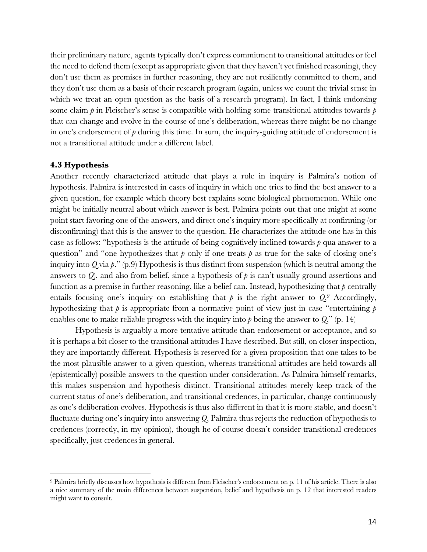their preliminary nature, agents typically don't express commitment to transitional attitudes or feel the need to defend them (except as appropriate given that they haven't yet finished reasoning), they don't use them as premises in further reasoning, they are not resiliently committed to them, and they don't use them as a basis of their research program (again, unless we count the trivial sense in which we treat an open question as the basis of a research program). In fact, I think endorsing some claim *p* in Fleischer's sense is compatible with holding some transitional attitudes towards *p* that can change and evolve in the course of one's deliberation, whereas there might be no change in one's endorsement of *p* during this time. In sum, the inquiry-guiding attitude of endorsement is not a transitional attitude under a different label.

#### **4.3 Hypothesis**

 $\overline{a}$ 

Another recently characterized attitude that plays a role in inquiry is Palmira's notion of hypothesis. Palmira is interested in cases of inquiry in which one tries to find the best answer to a given question, for example which theory best explains some biological phenomenon. While one might be initially neutral about which answer is best, Palmira points out that one might at some point start favoring one of the answers, and direct one's inquiry more specifically at confirming (or disconfirming) that this is the answer to the question. He characterizes the attitude one has in this case as follows: "hypothesis is the attitude of being cognitively inclined towards *p* qua answer to a question" and "one hypothesizes that  $p$  only if one treats  $p$  as true for the sake of closing one's inquiry into *Q* via *p*." (p.9) Hypothesis is thus distinct from suspension (which is neutral among the answers to  $Q$ ), and also from belief, since a hypothesis of  $\phi$  is can't usually ground assertions and function as a premise in further reasoning, like a belief can. Instead, hypothesizing that *p* centrally entails focusing one's inquiry on establishing that  $p$  is the right answer to  $Q<sup>9</sup>$ . Accordingly, hypothesizing that *p* is appropriate from a normative point of view just in case "entertaining *p* enables one to make reliable progress with the inquiry into  $\beta$  being the answer to  $Q$ ." (p. 14)

Hypothesis is arguably a more tentative attitude than endorsement or acceptance, and so it is perhaps a bit closer to the transitional attitudes I have described. But still, on closer inspection, they are importantly different. Hypothesis is reserved for a given proposition that one takes to be the most plausible answer to a given question, whereas transitional attitudes are held towards all (epistemically) possible answers to the question under consideration. As Palmira himself remarks, this makes suspension and hypothesis distinct. Transitional attitudes merely keep track of the current status of one's deliberation, and transitional credences, in particular, change continuously as one's deliberation evolves. Hypothesis is thus also different in that it is more stable, and doesn't fluctuate during one's inquiry into answering *Q*. Palmira thus rejects the reduction of hypothesis to credences (correctly, in my opinion), though he of course doesn't consider transitional credences specifically, just credences in general.

<sup>9</sup> Palmira briefly discusses how hypothesis is different from Fleischer's endorsement on p. 11 of his article. There is also a nice summary of the main differences between suspension, belief and hypothesis on p. 12 that interested readers might want to consult.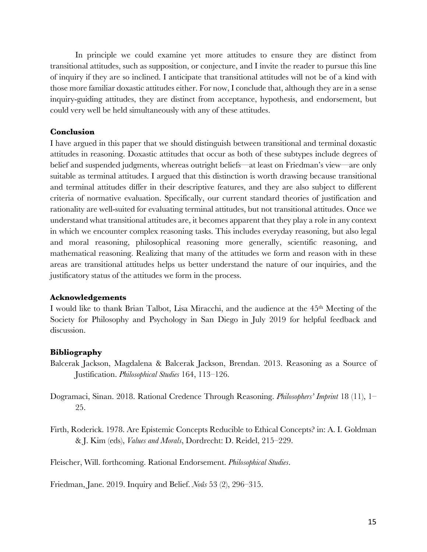In principle we could examine yet more attitudes to ensure they are distinct from transitional attitudes, such as supposition, or conjecture, and I invite the reader to pursue this line of inquiry if they are so inclined. I anticipate that transitional attitudes will not be of a kind with those more familiar doxastic attitudes either. For now, I conclude that, although they are in a sense inquiry-guiding attitudes, they are distinct from acceptance, hypothesis, and endorsement, but could very well be held simultaneously with any of these attitudes.

## **Conclusion**

I have argued in this paper that we should distinguish between transitional and terminal doxastic attitudes in reasoning. Doxastic attitudes that occur as both of these subtypes include degrees of belief and suspended judgments, whereas outright beliefs—at least on Friedman's view—are only suitable as terminal attitudes. I argued that this distinction is worth drawing because transitional and terminal attitudes differ in their descriptive features, and they are also subject to different criteria of normative evaluation. Specifically, our current standard theories of justification and rationality are well-suited for evaluating terminal attitudes, but not transitional attitudes. Once we understand what transitional attitudes are, it becomes apparent that they play a role in any context in which we encounter complex reasoning tasks. This includes everyday reasoning, but also legal and moral reasoning, philosophical reasoning more generally, scientific reasoning, and mathematical reasoning. Realizing that many of the attitudes we form and reason with in these areas are transitional attitudes helps us better understand the nature of our inquiries, and the justificatory status of the attitudes we form in the process.

### **Acknowledgements**

I would like to thank Brian Talbot, Lisa Miracchi, and the audience at the 45th Meeting of the Society for Philosophy and Psychology in San Diego in July 2019 for helpful feedback and discussion.

# **Bibliography**

- Balcerak Jackson, Magdalena & Balcerak Jackson, Brendan. 2013. Reasoning as a Source of Justification. *Philosophical Studies* 164, 113–126.
- Dogramaci, Sinan. 2018. Rational Credence Through Reasoning. *Philosophers' Imprint* 18 (11), 1– 25.
- Firth, Roderick. 1978. Are Epistemic Concepts Reducible to Ethical Concepts? in: A. I. Goldman & J. Kim (eds), *Values and Morals*, Dordrecht: D. Reidel, 215–229.

Fleischer, Will. forthcoming. Rational Endorsement. *Philosophical Studies*.

Friedman, Jane. 2019. Inquiry and Belief. *Noûs* 53 (2), 296–315.